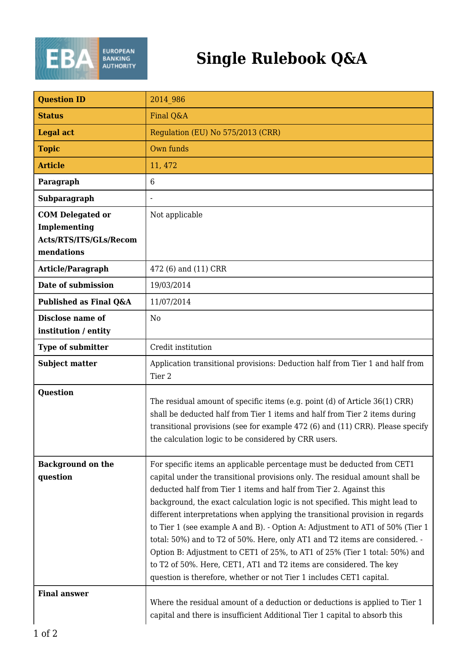

| <b>Question ID</b>                                                              | 2014 986                                                                                                                                                                                                                                                                                                                                                                                                                                                                                                                                                                                                                                                                                                                                                                                 |
|---------------------------------------------------------------------------------|------------------------------------------------------------------------------------------------------------------------------------------------------------------------------------------------------------------------------------------------------------------------------------------------------------------------------------------------------------------------------------------------------------------------------------------------------------------------------------------------------------------------------------------------------------------------------------------------------------------------------------------------------------------------------------------------------------------------------------------------------------------------------------------|
| <b>Status</b>                                                                   | Final Q&A                                                                                                                                                                                                                                                                                                                                                                                                                                                                                                                                                                                                                                                                                                                                                                                |
| <b>Legal act</b>                                                                | Regulation (EU) No 575/2013 (CRR)                                                                                                                                                                                                                                                                                                                                                                                                                                                                                                                                                                                                                                                                                                                                                        |
| <b>Topic</b>                                                                    | Own funds                                                                                                                                                                                                                                                                                                                                                                                                                                                                                                                                                                                                                                                                                                                                                                                |
| <b>Article</b>                                                                  | 11, 472                                                                                                                                                                                                                                                                                                                                                                                                                                                                                                                                                                                                                                                                                                                                                                                  |
| Paragraph                                                                       | 6                                                                                                                                                                                                                                                                                                                                                                                                                                                                                                                                                                                                                                                                                                                                                                                        |
| Subparagraph                                                                    |                                                                                                                                                                                                                                                                                                                                                                                                                                                                                                                                                                                                                                                                                                                                                                                          |
| <b>COM</b> Delegated or<br>Implementing<br>Acts/RTS/ITS/GLs/Recom<br>mendations | Not applicable                                                                                                                                                                                                                                                                                                                                                                                                                                                                                                                                                                                                                                                                                                                                                                           |
| Article/Paragraph                                                               | 472 (6) and (11) CRR                                                                                                                                                                                                                                                                                                                                                                                                                                                                                                                                                                                                                                                                                                                                                                     |
| Date of submission                                                              | 19/03/2014                                                                                                                                                                                                                                                                                                                                                                                                                                                                                                                                                                                                                                                                                                                                                                               |
| Published as Final Q&A                                                          | 11/07/2014                                                                                                                                                                                                                                                                                                                                                                                                                                                                                                                                                                                                                                                                                                                                                                               |
| Disclose name of<br>institution / entity                                        | N <sub>0</sub>                                                                                                                                                                                                                                                                                                                                                                                                                                                                                                                                                                                                                                                                                                                                                                           |
| <b>Type of submitter</b>                                                        | Credit institution                                                                                                                                                                                                                                                                                                                                                                                                                                                                                                                                                                                                                                                                                                                                                                       |
| <b>Subject matter</b>                                                           | Application transitional provisions: Deduction half from Tier 1 and half from<br>Tier 2                                                                                                                                                                                                                                                                                                                                                                                                                                                                                                                                                                                                                                                                                                  |
| <b>Question</b>                                                                 | The residual amount of specific items (e.g. point (d) of Article 36(1) CRR)<br>shall be deducted half from Tier 1 items and half from Tier 2 items during<br>transitional provisions (see for example 472 (6) and (11) CRR). Please specify<br>the calculation logic to be considered by CRR users.                                                                                                                                                                                                                                                                                                                                                                                                                                                                                      |
| <b>Background on the</b><br>question                                            | For specific items an applicable percentage must be deducted from CET1<br>capital under the transitional provisions only. The residual amount shall be<br>deducted half from Tier 1 items and half from Tier 2. Against this<br>background, the exact calculation logic is not specified. This might lead to<br>different interpretations when applying the transitional provision in regards<br>to Tier 1 (see example A and B). - Option A: Adjustment to AT1 of 50% (Tier 1<br>total: 50%) and to T2 of 50%. Here, only AT1 and T2 items are considered. -<br>Option B: Adjustment to CET1 of 25%, to AT1 of 25% (Tier 1 total: 50%) and<br>to T2 of 50%. Here, CET1, AT1 and T2 items are considered. The key<br>question is therefore, whether or not Tier 1 includes CET1 capital. |
| <b>Final answer</b>                                                             | Where the residual amount of a deduction or deductions is applied to Tier 1<br>capital and there is insufficient Additional Tier 1 capital to absorb this                                                                                                                                                                                                                                                                                                                                                                                                                                                                                                                                                                                                                                |